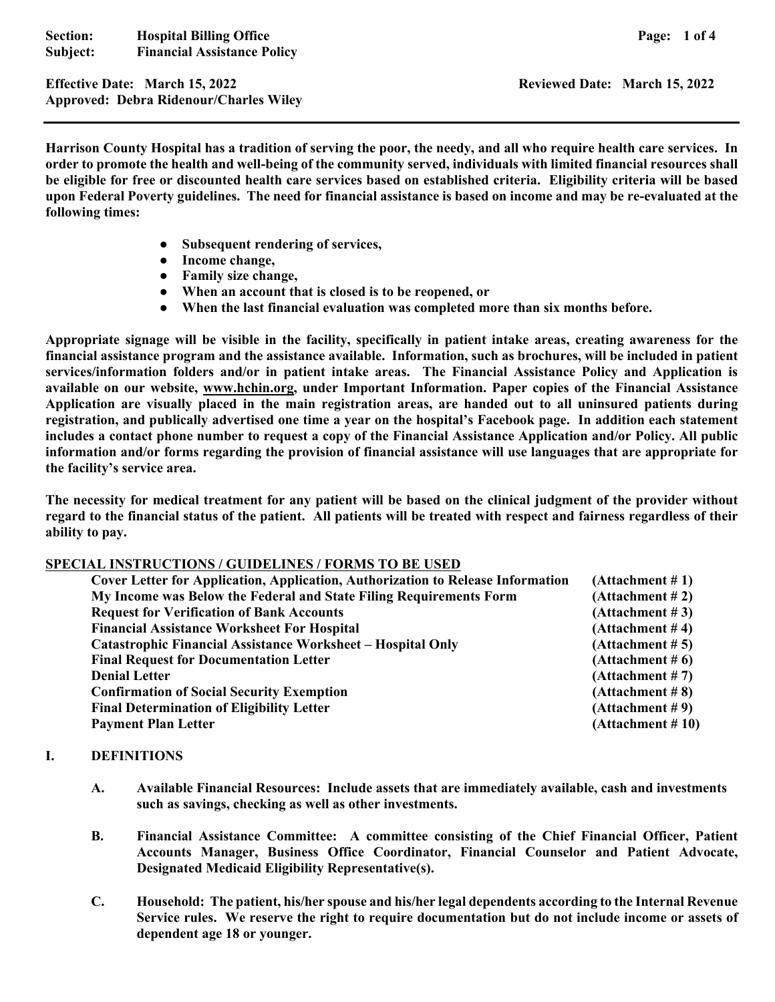**Section:** Hospital Billing Office **Page: 1 of 4 Page: 1 of 4 Subject: Financial Assistance Policy** 

**Effective Date: March 15, 2022 Reviewed Date: March 15, 2022 Approved: Debra Ridenour/Charles Wiley** 

**Harrison County Hospital has a tradition of serving the poor, the needy, and all who require health care services. In order to promote the health and well-being of the community served, individuals with limited financial resources shall be eligible for free or discounted health care services based on established criteria. Eligibility criteria will be based upon Federal Poverty guidelines. The need for financial assistance is based on income and may be re-evaluated at the following times:** 

- **● Subsequent rendering of services,**
- **● Income change,**
- **● Family size change,**
- **● When an account that is closed is to be reopened, or**
- **● When the last financial evaluation was completed more than six months before.**

**Appropriate signage will be visible in the facility, specifically in patient intake areas, creating awareness for the financial assistance program and the assistance available. Information, such as brochures, will be included in patient services/information folders and/or in patient intake areas. The Financial Assistance Policy and Application is available on our website, www.hchin.org, under Important Information. Paper copies of the Financial Assistance Application are visually placed in the main registration areas, are handed out to all uninsured patients during registration, and publically advertised one time a year on the hospital's Facebook page. In addition each statement includes a contact phone number to request a copy of the Financial Assistance Application and/or Policy. All public information and/or forms regarding the provision of financial assistance will use languages that are appropriate for the facility's service area.** 

**The necessity for medical treatment for any patient will be based on the clinical judgment of the provider without regard to the financial status of the patient. All patients will be treated with respect and fairness regardless of their ability to pay.** 

#### **SPECIAL INSTRUCTIONS / GUIDELINES / FORMS TO BE USED**

| <b>Cover Letter for Application, Application, Authorization to Release Information</b> | (Attachment # 1)    |
|----------------------------------------------------------------------------------------|---------------------|
| My Income was Below the Federal and State Filing Requirements Form                     | (Attachment # 2)    |
| <b>Request for Verification of Bank Accounts</b>                                       | (Attentionment # 3) |
| <b>Financial Assistance Worksheet For Hospital</b>                                     | (Attentionment # 4) |
| <b>Catastrophic Financial Assistance Worksheet - Hospital Only</b>                     | (Attentionment # 5) |
| <b>Final Request for Documentation Letter</b>                                          | (Attachment # 6)    |
| <b>Denial Letter</b>                                                                   | (Attachment # 7)    |
| <b>Confirmation of Social Security Exemption</b>                                       | (Attachment # 8)    |
| <b>Final Determination of Eligibility Letter</b>                                       | (Attachment # 9)    |
| <b>Payment Plan Letter</b>                                                             | (Attachment # 10)   |

#### **I. DEFINITIONS**

- **A. Available Financial Resources: Include assets that are immediately available, cash and investments such as savings, checking as well as other investments.**
- **B. Financial Assistance Committee: A committee consisting of the Chief Financial Officer, Patient Accounts Manager, Business Office Coordinator, Financial Counselor and Patient Advocate, Designated Medicaid Eligibility Representative(s).**
- **C. Household: The patient, his/her spouse and his/her legal dependents according to the Internal Revenue Service rules. We reserve the right to require documentation but do not include income or assets of dependent age 18 or younger.**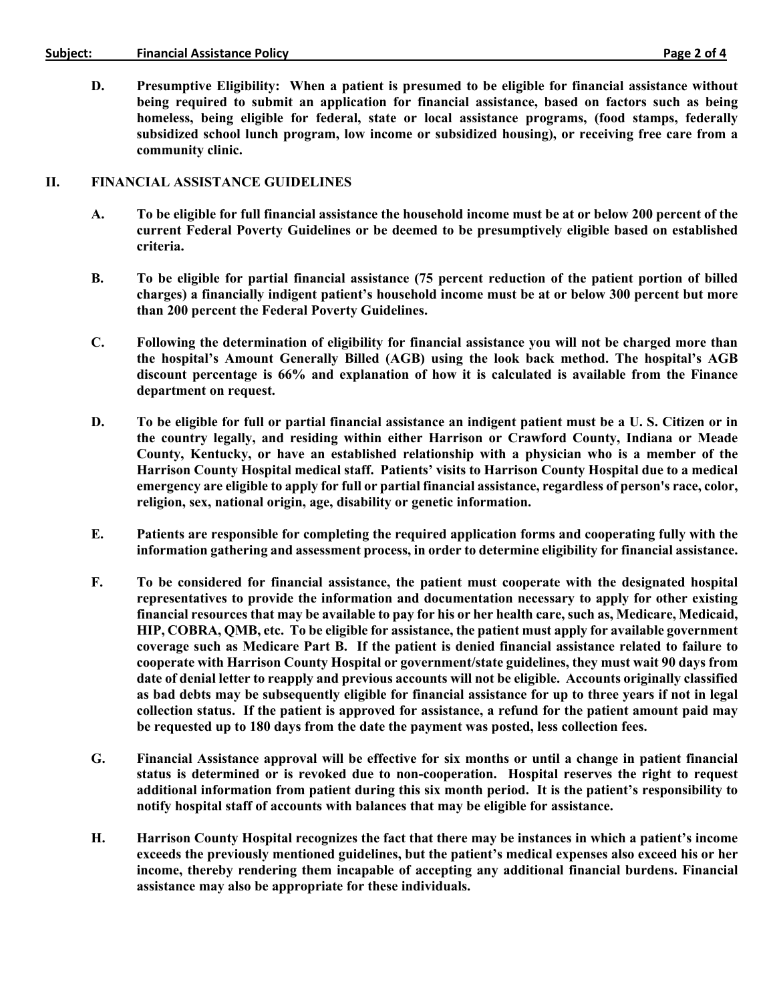#### Subject: Financial Assistance Policy **Example 2** of 4

**D. Presumptive Eligibility: When a patient is presumed to be eligible for financial assistance without being required to submit an application for financial assistance, based on factors such as being homeless, being eligible for federal, state or local assistance programs, (food stamps, federally subsidized school lunch program, low income or subsidized housing), or receiving free care from a community clinic.** 

#### **II. FINANCIAL ASSISTANCE GUIDELINES**

- **A. To be eligible for full financial assistance the household income must be at or below 200 percent of the current Federal Poverty Guidelines or be deemed to be presumptively eligible based on established criteria.**
- **B. To be eligible for partial financial assistance (75 percent reduction of the patient portion of billed charges) a financially indigent patient's household income must be at or below 300 percent but more than 200 percent the Federal Poverty Guidelines.**
- **C. Following the determination of eligibility for financial assistance you will not be charged more than the hospital's Amount Generally Billed (AGB) using the look back method. The hospital's AGB discount percentage is 66% and explanation of how it is calculated is available from the Finance department on request.**
- **D. To be eligible for full or partial financial assistance an indigent patient must be a U. S. Citizen or in the country legally, and residing within either Harrison or Crawford County, Indiana or Meade County, Kentucky, or have an established relationship with a physician who is a member of the Harrison County Hospital medical staff. Patients' visits to Harrison County Hospital due to a medical emergency are eligible to apply for full or partial financial assistance, regardless of person's race, color, religion, sex, national origin, age, disability or genetic information.**
- **E. Patients are responsible for completing the required application forms and cooperating fully with the information gathering and assessment process, in order to determine eligibility for financial assistance.**
- **F. To be considered for financial assistance, the patient must cooperate with the designated hospital representatives to provide the information and documentation necessary to apply for other existing financial resources that may be available to pay for his or her health care, such as, Medicare, Medicaid, HIP, COBRA, QMB, etc. To be eligible for assistance, the patient must apply for available government coverage such as Medicare Part B. If the patient is denied financial assistance related to failure to cooperate with Harrison County Hospital or government/state guidelines, they must wait 90 days from date of denial letter to reapply and previous accounts will not be eligible. Accounts originally classified as bad debts may be subsequently eligible for financial assistance for up to three years if not in legal collection status. If the patient is approved for assistance, a refund for the patient amount paid may be requested up to 180 days from the date the payment was posted, less collection fees.**
- **G. Financial Assistance approval will be effective for six months or until a change in patient financial status is determined or is revoked due to non-cooperation. Hospital reserves the right to request additional information from patient during this six month period. It is the patient's responsibility to notify hospital staff of accounts with balances that may be eligible for assistance.**
- **H. Harrison County Hospital recognizes the fact that there may be instances in which a patient's income exceeds the previously mentioned guidelines, but the patient's medical expenses also exceed his or her income, thereby rendering them incapable of accepting any additional financial burdens. Financial assistance may also be appropriate for these individuals.**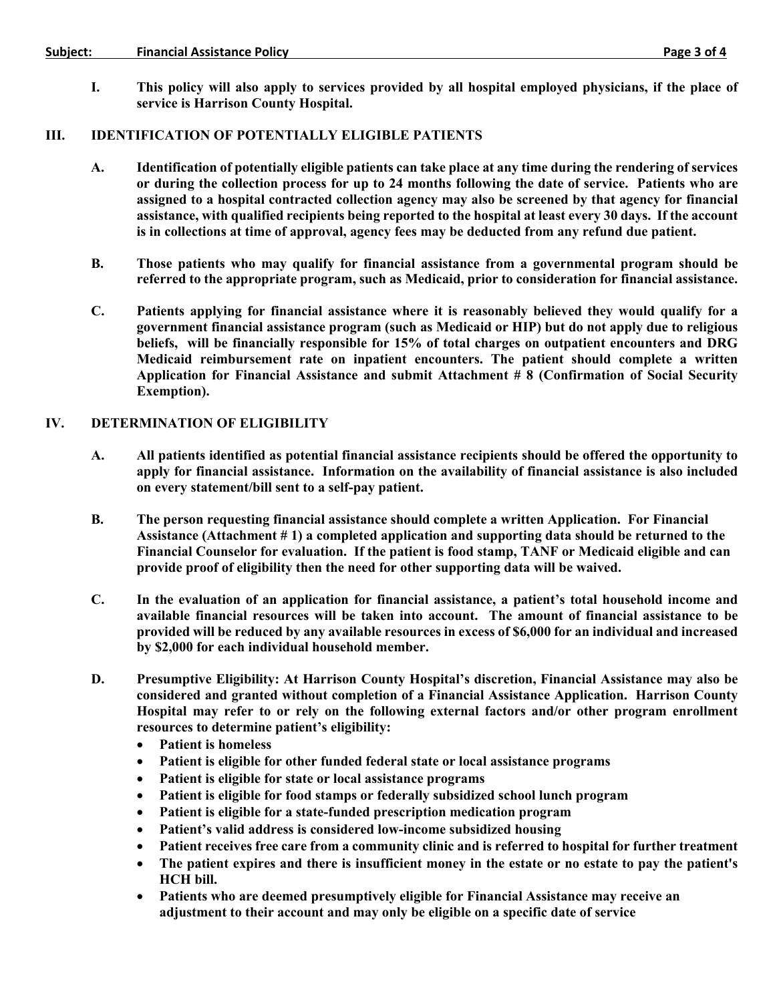#### Subject: Financial Assistance Policy **Example 2018** Financial Assistance Policy **Financial Assistance Policy**

**I. This policy will also apply to services provided by all hospital employed physicians, if the place of service is Harrison County Hospital.** 

## **III. IDENTIFICATION OF POTENTIALLY ELIGIBLE PATIENTS**

- **A. Identification of potentially eligible patients can take place at any time during the rendering of services or during the collection process for up to 24 months following the date of service. Patients who are assigned to a hospital contracted collection agency may also be screened by that agency for financial assistance, with qualified recipients being reported to the hospital at least every 30 days. If the account is in collections at time of approval, agency fees may be deducted from any refund due patient.**
- **B. Those patients who may qualify for financial assistance from a governmental program should be referred to the appropriate program, such as Medicaid, prior to consideration for financial assistance.**
- **C. Patients applying for financial assistance where it is reasonably believed they would qualify for a government financial assistance program (such as Medicaid or HIP) but do not apply due to religious beliefs, will be financially responsible for 15% of total charges on outpatient encounters and DRG Medicaid reimbursement rate on inpatient encounters. The patient should complete a written Application for Financial Assistance and submit Attachment # 8 (Confirmation of Social Security Exemption).**

## **IV. DETERMINATION OF ELIGIBILITY**

- **A. All patients identified as potential financial assistance recipients should be offered the opportunity to apply for financial assistance. Information on the availability of financial assistance is also included on every statement/bill sent to a self-pay patient.**
- **B. The person requesting financial assistance should complete a written Application. For Financial Assistance (Attachment # 1) a completed application and supporting data should be returned to the Financial Counselor for evaluation. If the patient is food stamp, TANF or Medicaid eligible and can provide proof of eligibility then the need for other supporting data will be waived.**
- **C. In the evaluation of an application for financial assistance, a patient's total household income and available financial resources will be taken into account. The amount of financial assistance to be provided will be reduced by any available resources in excess of \$6,000 for an individual and increased by \$2,000 for each individual household member.**
- **D. Presumptive Eligibility: At Harrison County Hospital's discretion, Financial Assistance may also be considered and granted without completion of a Financial Assistance Application. Harrison County Hospital may refer to or rely on the following external factors and/or other program enrollment resources to determine patient's eligibility:** 
	- **Patient is homeless**
	- **Patient is eligible for other funded federal state or local assistance programs**
	- **Patient is eligible for state or local assistance programs**
	- **Patient is eligible for food stamps or federally subsidized school lunch program**
	- **Patient is eligible for a state-funded prescription medication program**
	- **Patient's valid address is considered low-income subsidized housing**
	- **Patient receives free care from a community clinic and is referred to hospital for further treatment**
	- **The patient expires and there is insufficient money in the estate or no estate to pay the patient's HCH bill.**
	- **Patients who are deemed presumptively eligible for Financial Assistance may receive an adjustment to their account and may only be eligible on a specific date of service**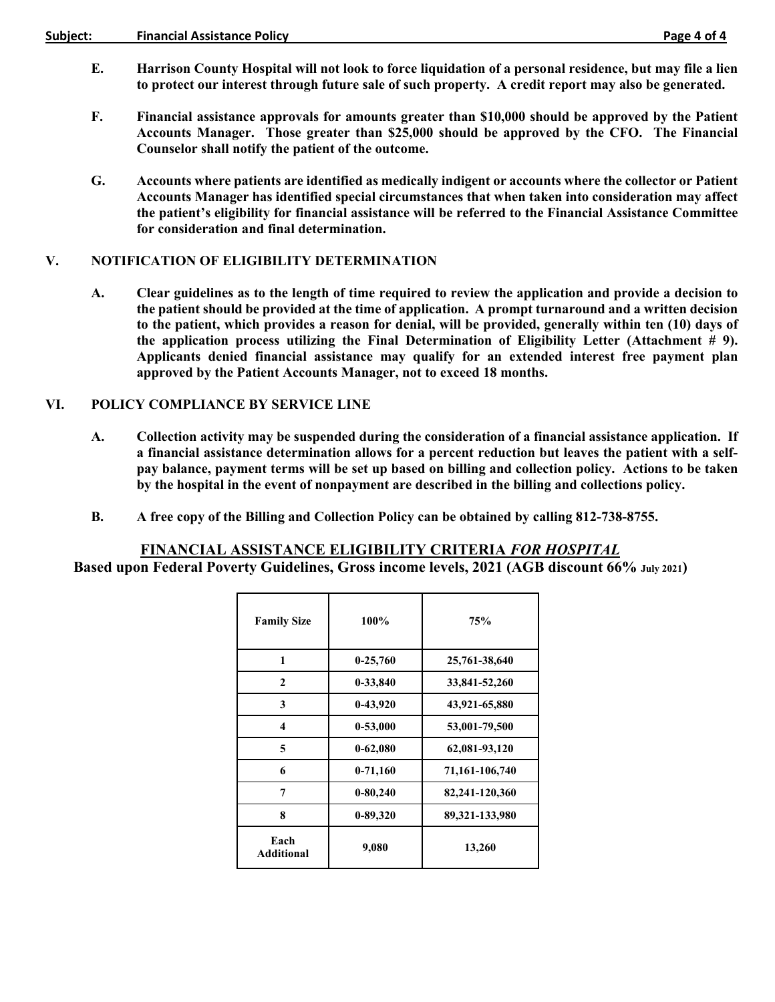#### Subject: Financial Assistance Policy **Example 2018** Financial Assistance Policy

- 
- **E. Harrison County Hospital will not look to force liquidation of a personal residence, but may file a lien to protect our interest through future sale of such property. A credit report may also be generated.**
- **F. Financial assistance approvals for amounts greater than \$10,000 should be approved by the Patient Accounts Manager. Those greater than \$25,000 should be approved by the CFO. The Financial Counselor shall notify the patient of the outcome.**
- **G. Accounts where patients are identified as medically indigent or accounts where the collector or Patient Accounts Manager has identified special circumstances that when taken into consideration may affect the patient's eligibility for financial assistance will be referred to the Financial Assistance Committee for consideration and final determination.**

## **V. NOTIFICATION OF ELIGIBILITY DETERMINATION**

**A. Clear guidelines as to the length of time required to review the application and provide a decision to the patient should be provided at the time of application. A prompt turnaround and a written decision to the patient, which provides a reason for denial, will be provided, generally within ten (10) days of the application process utilizing the Final Determination of Eligibility Letter (Attachment # 9). Applicants denied financial assistance may qualify for an extended interest free payment plan approved by the Patient Accounts Manager, not to exceed 18 months.** 

## **VI. POLICY COMPLIANCE BY SERVICE LINE**

- **A. Collection activity may be suspended during the consideration of a financial assistance application. If a financial assistance determination allows for a percent reduction but leaves the patient with a selfpay balance, payment terms will be set up based on billing and collection policy. Actions to be taken by the hospital in the event of nonpayment are described in the billing and collections policy.**
- **B. A free copy of the Billing and Collection Policy can be obtained by calling 812-738-8755.**

# **FINANCIAL ASSISTANCE ELIGIBILITY CRITERIA** *FOR HOSPITAL*

**Based upon Federal Poverty Guidelines, Gross income levels, 2021 (AGB discount 66% July 2021)** 

| <b>Family Size</b>        | 100%         | 75%            |
|---------------------------|--------------|----------------|
| 1                         | $0-25,760$   | 25,761-38,640  |
| $\mathbf{2}$              | 0-33,840     | 33,841-52,260  |
| 3                         | 0-43,920     | 43,921-65,880  |
| 4                         | $0 - 53,000$ | 53,001-79,500  |
| 5                         | $0 - 62,080$ | 62,081-93,120  |
| 6                         | $0-71,160$   | 71,161-106,740 |
| 7                         | $0 - 80,240$ | 82,241-120,360 |
| 8                         | $0 - 89,320$ | 89,321-133,980 |
| Each<br><b>Additional</b> | 9,080        | 13,260         |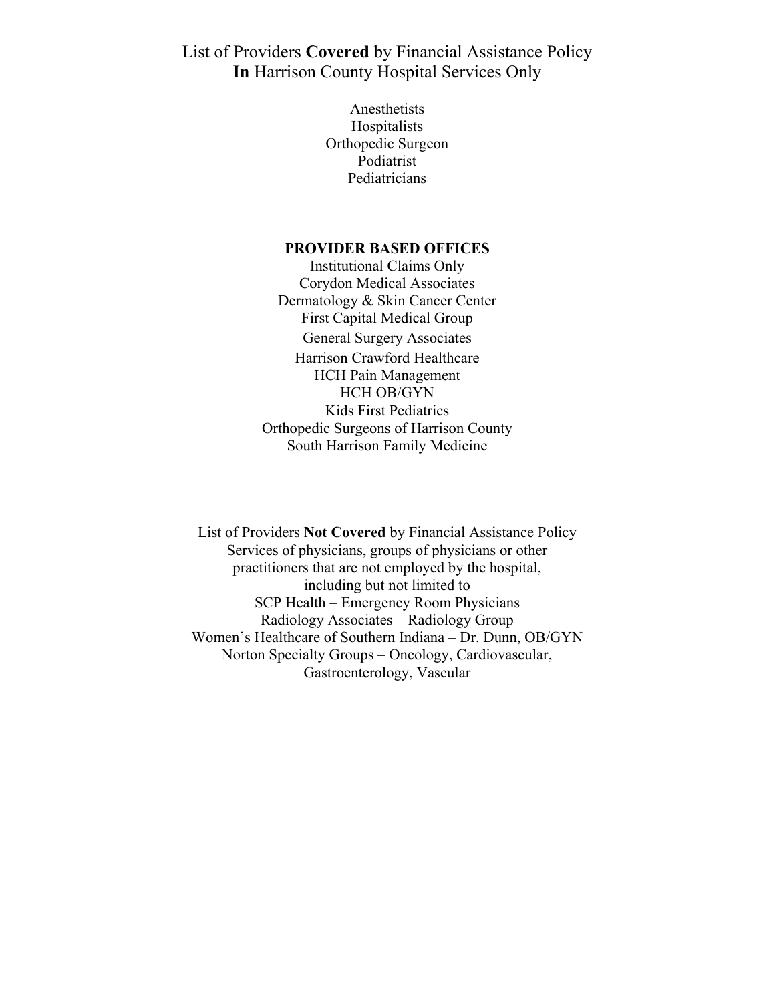List of Providers **Covered** by Financial Assistance Policy **In** Harrison County Hospital Services Only

> Anesthetists Hospitalists Orthopedic Surgeon Podiatrist Pediatricians

#### **PROVIDER BASED OFFICES**

Institutional Claims Only Corydon Medical Associates Dermatology & Skin Cancer Center First Capital Medical Group General Surgery Associates Harrison Crawford Healthcare HCH Pain Management HCH OB/GYN Kids First Pediatrics Orthopedic Surgeons of Harrison County South Harrison Family Medicine

List of Providers **Not Covered** by Financial Assistance Policy Services of physicians, groups of physicians or other practitioners that are not employed by the hospital, including but not limited to SCP Health – Emergency Room Physicians Radiology Associates – Radiology Group Women's Healthcare of Southern Indiana – Dr. Dunn, OB/GYN Norton Specialty Groups – Oncology, Cardiovascular, Gastroenterology, Vascular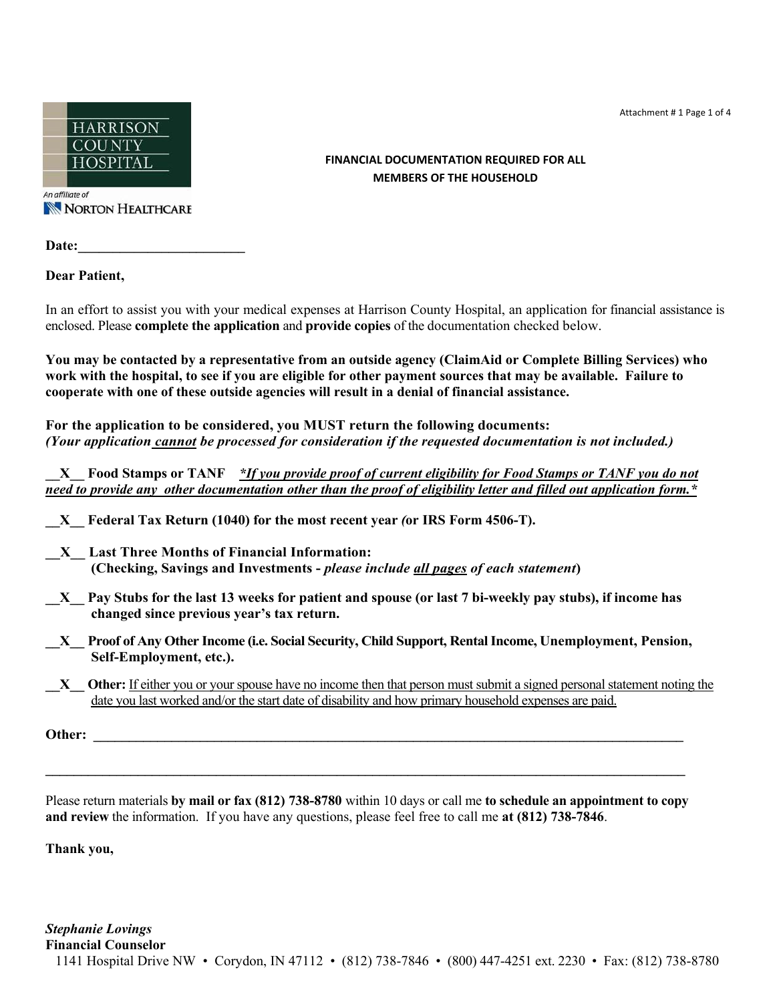Attachment # 1 Page 1 of 4



An affiliate of NORTON HEALTHCARE

Date:

**Dear Patient,** 

In an effort to assist you with your medical expenses at Harrison County Hospital, an application for financial assistance is enclosed. Please **complete the application** and **provide copies** of the documentation checked below.

**You may be contacted by a representative from an outside agency (ClaimAid or Complete Billing Services) who work with the hospital, to see if you are eligible for other payment sources that may be available. Failure to cooperate with one of these outside agencies will result in a denial of financial assistance.**

**For the application to be considered, you MUST return the following documents:**  *(Your application cannot be processed for consideration if the requested documentation is not included.)* 

**\_\_X\_\_ Food Stamps or TANF** *\*If you provide proof of current eligibility for Food Stamps or TANF you do not need to provide any other documentation other than the proof of eligibility letter and filled out application form.\** 

- **\_\_X\_\_ Federal Tax Return (1040) for the most recent year** *(***or IRS Form 4506-T).**
- **\_\_X\_\_ Last Three Months of Financial Information: (Checking, Savings and Investments -** *please include all pages of each statement***)**
- **\_\_X\_\_ Pay Stubs for the last 13 weeks for patient and spouse (or last 7 bi-weekly pay stubs), if income has changed since previous year's tax return.**
- **\_\_X\_\_ Proof of Any Other Income (i.e. Social Security, Child Support, Rental Income, Unemployment, Pension, Self-Employment, etc.).**
- **\_\_X\_\_ Other:** If either you or your spouse have no income then that person must submit a signed personal statement noting the date you last worked and/or the start date of disability and how primary household expenses are paid.

**Other:** *Communication*  $\mathbf{C}$  *<b>Communication*  $\mathbf{C}$  *Communication*  $\mathbf{C}$  *Communication* $\mathbf{C}$ *Communication* $\mathbf{C}$ *Communication* $\mathbf{C}$ *Communication* $\mathbf{C}$ *Communication* $\mathbf{C}$ *Communic* 

Please return materials **by mail or fax (812) 738-8780** within 10 days or call me **to schedule an appointment to copy and review** the information. If you have any questions, please feel free to call me **at (812) 738-7846**.

**\_\_\_\_\_\_\_\_\_\_\_\_\_\_\_\_\_\_\_\_\_\_\_\_\_\_\_\_\_\_\_\_\_\_\_\_\_\_\_\_\_\_\_\_\_\_\_\_\_\_\_\_\_\_\_\_\_\_\_\_\_\_\_\_\_\_\_\_\_\_\_\_\_\_\_\_\_\_\_\_\_\_\_\_\_\_\_\_\_\_**

**Thank you,** 

## **FINANCIAL DOCUMENTATION REQUIRED FOR ALL MEMBERS OF THE HOUSEHOLD**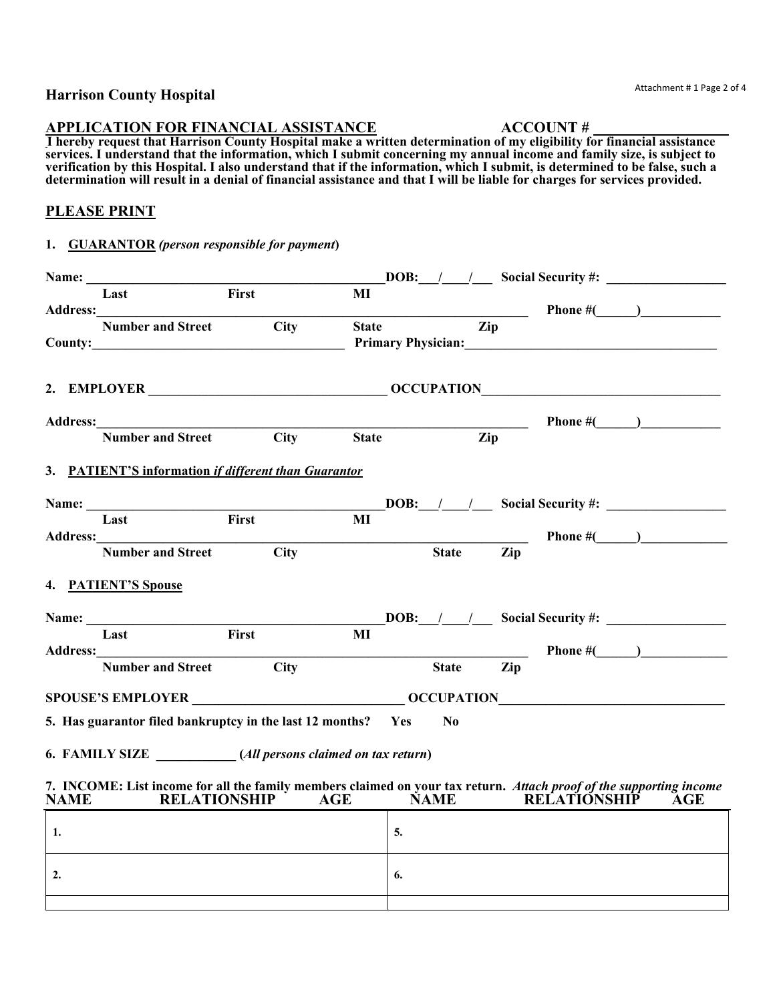## **Harrison County Hospital**

#### **APPLICATION FOR FINANCIAL ASSISTANCE ACCOUNT #**

**I hereby request that Harrison County Hospital make a written determination of my eligibility for financial assistance services. I understand that the information, which I submit concerning my annual income and family size, is subject to verification by this Hospital. I also understand that if the information, which I submit, is determined to be false, such a determination will result in a denial of financial assistance and that I will be liable for charges for services provided.** 

# **PLEASE PRINT**

## **1. GUARANTOR** *(person responsible for payment***)**

| Name:       |                                                                                                                                            |                    |                    |              |    |                            |     |                                                                                                                                                                                                                                   |     |
|-------------|--------------------------------------------------------------------------------------------------------------------------------------------|--------------------|--------------------|--------------|----|----------------------------|-----|-----------------------------------------------------------------------------------------------------------------------------------------------------------------------------------------------------------------------------------|-----|
|             | Last                                                                                                                                       | First              |                    | MI           |    |                            |     |                                                                                                                                                                                                                                   |     |
|             |                                                                                                                                            |                    |                    |              |    |                            |     | <b>Phone</b> $\#$ ( ) and 2 and 2 and 2 and 2 and 2 and 2 and 2 and 2 and 2 and 2 and 2 and 2 and 2 and 2 and 2 and 2 and 2 and 2 and 2 and 2 and 2 and 2 and 2 and 2 and 2 and 2 and 2 and 2 and 2 and 2 and 2 and 2 and 2 and 2 |     |
|             | <b>Number and Street</b>                                                                                                                   |                    | <b>City</b>        | <b>State</b> |    | $\overline{_{\text{Zip}}}$ |     |                                                                                                                                                                                                                                   |     |
|             |                                                                                                                                            |                    |                    |              |    |                            |     | Primary Physician: 2008 2010 2020 2020 2021 2022 2021 2022 2022 2022 2022 2022 2022 2022 2022 2022 2022 2022 20                                                                                                                   |     |
|             |                                                                                                                                            |                    |                    |              |    |                            |     |                                                                                                                                                                                                                                   |     |
|             | 2. EMPLOYER CONTROLLER CONTROLLER CONTROLLER CONTROLLER CONTROLLER CONTROLLER CONTROLLER CONTROLLER CONTROLLER                             |                    |                    |              |    |                            |     |                                                                                                                                                                                                                                   |     |
|             |                                                                                                                                            |                    |                    |              |    |                            |     |                                                                                                                                                                                                                                   |     |
|             | Address:<br>Number and Street City State Zip                                                                                               |                    |                    |              |    |                            |     |                                                                                                                                                                                                                                   |     |
|             |                                                                                                                                            |                    |                    |              |    |                            |     |                                                                                                                                                                                                                                   |     |
|             | 3. PATIENT'S information if different than Guarantor                                                                                       |                    |                    |              |    |                            |     |                                                                                                                                                                                                                                   |     |
|             |                                                                                                                                            |                    |                    |              |    |                            |     | <b>DOB:</b> / / Social Security #:                                                                                                                                                                                                |     |
|             | Last                                                                                                                                       | $\overline{First}$ |                    | MI           |    |                            |     |                                                                                                                                                                                                                                   |     |
|             |                                                                                                                                            |                    |                    |              |    |                            |     |                                                                                                                                                                                                                                   |     |
|             | <b>Number and Street</b>                                                                                                                   |                    | $\overline{C}$ ity |              |    | <b>State</b>               | Zip |                                                                                                                                                                                                                                   |     |
|             | 4. PATIENT'S Spouse                                                                                                                        |                    |                    |              |    |                            |     |                                                                                                                                                                                                                                   |     |
|             |                                                                                                                                            |                    |                    |              |    |                            |     | <b>DOB:</b> / / Social Security #:                                                                                                                                                                                                |     |
|             | Last                                                                                                                                       | First              |                    | MI           |    |                            |     |                                                                                                                                                                                                                                   |     |
|             |                                                                                                                                            |                    |                    |              |    |                            |     |                                                                                                                                                                                                                                   |     |
|             | <b>Number and Street</b>                                                                                                                   |                    | $\overline{C}$ ity |              |    | <b>State</b>               | Zip |                                                                                                                                                                                                                                   |     |
|             |                                                                                                                                            |                    |                    |              |    |                            |     |                                                                                                                                                                                                                                   |     |
|             | 5. Has guarantor filed bankruptcy in the last 12 months? Yes                                                                               |                    |                    |              |    | $\bf No$                   |     |                                                                                                                                                                                                                                   |     |
|             | 6. FAMILY SIZE (All persons claimed on tax return)                                                                                         |                    |                    |              |    |                            |     |                                                                                                                                                                                                                                   |     |
| <b>NAME</b> | 7. INCOME: List income for all the family members claimed on your tax return. Attach proof of the supporting income<br><b>RELATIONSHIP</b> |                    |                    | AGE          |    | <b>NAME</b>                |     | <b>RELATIONSHIP</b>                                                                                                                                                                                                               | AGE |
| 1.          |                                                                                                                                            |                    |                    |              | 5. |                            |     |                                                                                                                                                                                                                                   |     |
|             |                                                                                                                                            |                    |                    |              |    |                            |     |                                                                                                                                                                                                                                   |     |
| 2.          |                                                                                                                                            |                    |                    |              | 6. |                            |     |                                                                                                                                                                                                                                   |     |
|             |                                                                                                                                            |                    |                    |              |    |                            |     |                                                                                                                                                                                                                                   |     |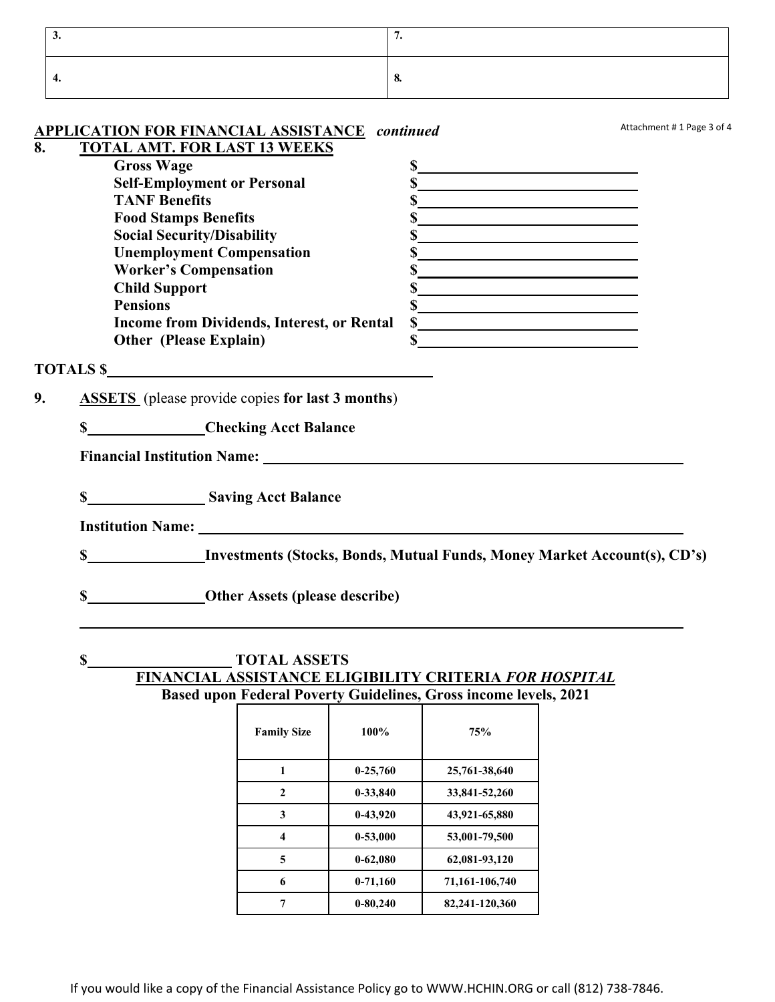| ◡  |    |
|----|----|
| т. | v. |

|    |                      | <b>APPLICATION FOR FINANCIAL ASSISTANCE continued</b>                                    | Attachment #1 Page 3 of 4                          |
|----|----------------------|------------------------------------------------------------------------------------------|----------------------------------------------------|
| 8. |                      | <b>TOTAL AMT. FOR LAST 13 WEEKS</b>                                                      |                                                    |
|    | <b>Gross Wage</b>    |                                                                                          | s                                                  |
|    |                      | <b>Self-Employment or Personal</b>                                                       |                                                    |
|    | <b>TANF Benefits</b> |                                                                                          | s                                                  |
|    |                      | <b>Food Stamps Benefits</b>                                                              | $\sim$                                             |
|    |                      | <b>Social Security/Disability</b>                                                        | $\sim$                                             |
|    |                      | <b>Unemployment Compensation</b><br>\$                                                   | <u> 1989 - Johann Barn, amerikansk politiker (</u> |
|    |                      | <b>Worker's Compensation</b>                                                             | $\sim$                                             |
|    | <b>Child Support</b> |                                                                                          | $\sim$                                             |
|    | <b>Pensions</b>      |                                                                                          | $\sim$                                             |
|    |                      | Income from Dividends, Interest, or Rental                                               | s                                                  |
|    |                      | <b>Other (Please Explain)</b>                                                            |                                                    |
|    |                      | TOTALS \$                                                                                |                                                    |
| 9. |                      | <b>ASSETS</b> (please provide copies for last 3 months)                                  |                                                    |
|    |                      | <b>S</b><br>Checking Acct Balance                                                        |                                                    |
|    |                      | Financial Institution Name: Names                                                        |                                                    |
|    |                      | <b>S</b> Saving Acct Balance                                                             |                                                    |
|    |                      |                                                                                          |                                                    |
|    | \$                   | <b>EXECUTE:</b> Investments (Stocks, Bonds, Mutual Funds, Money Market Account(s), CD's) |                                                    |
|    | \$                   | <b>Other Assets (please describe)</b>                                                    |                                                    |

# **\$ TOTAL ASSETS FINANCIAL ASSISTANCE ELIGIBILITY CRITERIA** *FOR HOSPITAL* **Based upon Federal Poverty Guidelines, Gross income levels, 2021**

| <b>Family Size</b> | 100%         | 75%            |
|--------------------|--------------|----------------|
| 1                  | $0-25,760$   | 25,761-38,640  |
| $\mathbf{2}$       | 0-33,840     | 33,841-52,260  |
| 3                  | 0-43,920     | 43,921-65,880  |
| 4                  | $0 - 53,000$ | 53,001-79,500  |
| 5                  | $0 - 62,080$ | 62,081-93,120  |
| 6                  | $0-71,160$   | 71,161-106,740 |
|                    | $0 - 80,240$ | 82,241-120,360 |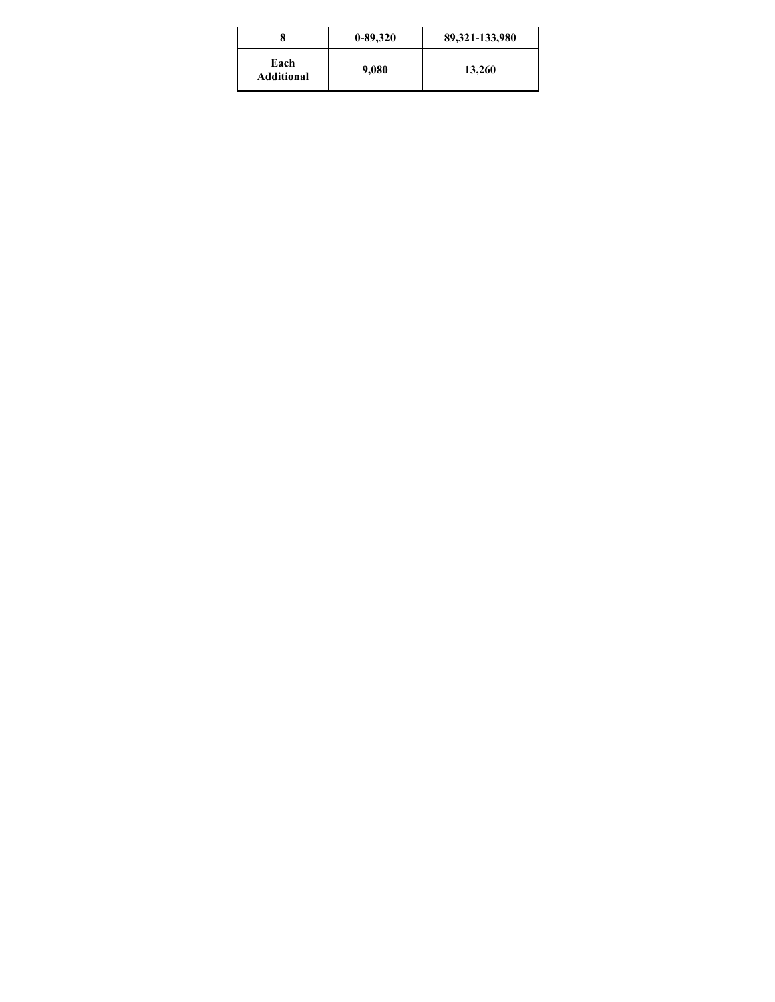|                           | $0 - 89,320$ | 89,321-133,980 |
|---------------------------|--------------|----------------|
| Each<br><b>Additional</b> | 9,080        | 13,260         |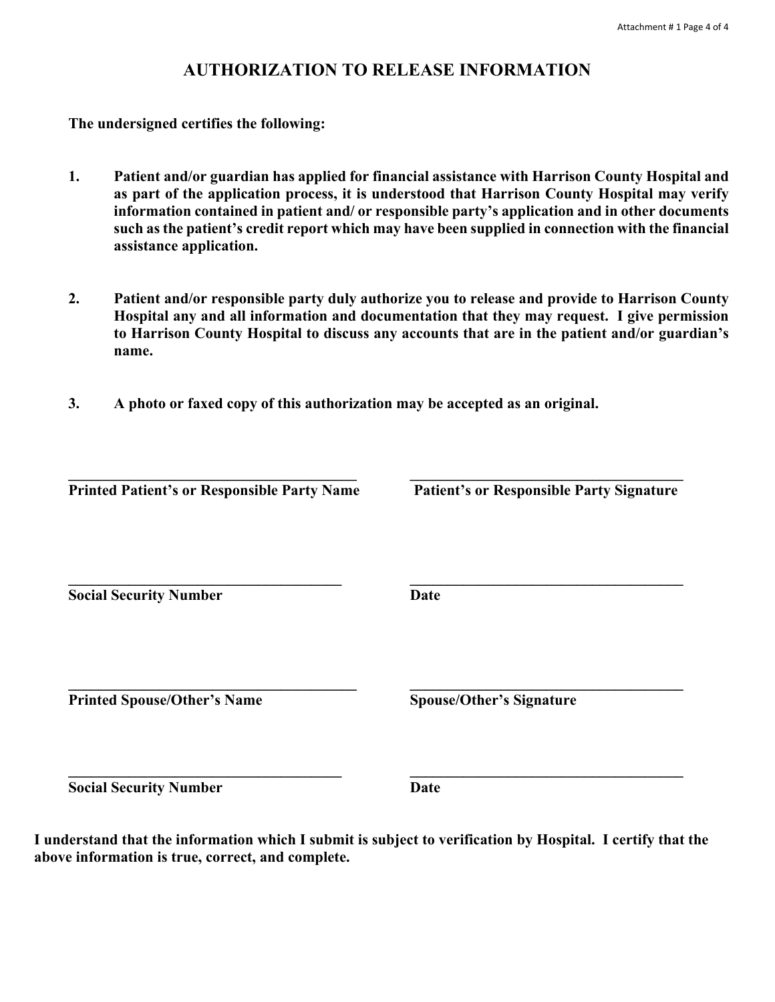# **AUTHORIZATION TO RELEASE INFORMATION**

**The undersigned certifies the following:** 

- **1. Patient and/or guardian has applied for financial assistance with Harrison County Hospital and as part of the application process, it is understood that Harrison County Hospital may verify information contained in patient and/ or responsible party's application and in other documents such as the patient's credit report which may have been supplied in connection with the financial assistance application.**
- **2. Patient and/or responsible party duly authorize you to release and provide to Harrison County Hospital any and all information and documentation that they may request. I give permission to Harrison County Hospital to discuss any accounts that are in the patient and/or guardian's name.**
- **3. A photo or faxed copy of this authorization may be accepted as an original.**

| <b>Printed Patient's or Responsible Party Name</b> | <b>Patient's or Responsible Party Signature</b> |
|----------------------------------------------------|-------------------------------------------------|
| <b>Social Security Number</b>                      | Date                                            |
| <b>Printed Spouse/Other's Name</b>                 | <b>Spouse/Other's Signature</b>                 |

**Social Security Number Date** 

**I understand that the information which I submit is subject to verification by Hospital. I certify that the above information is true, correct, and complete.**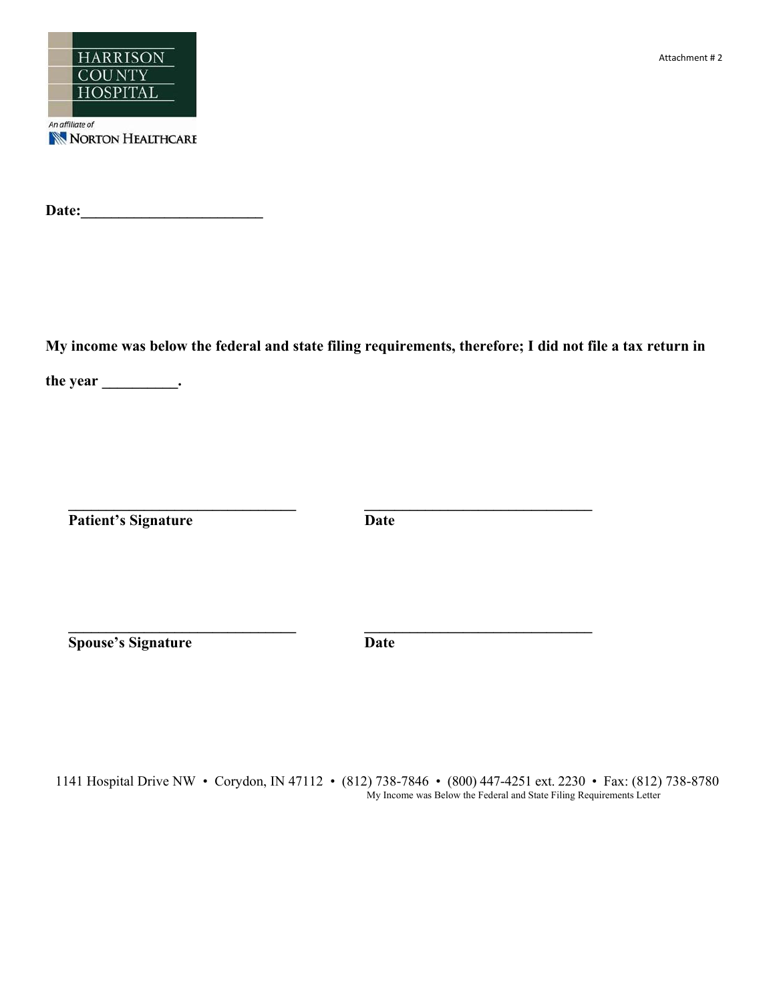

**Date:\_\_\_\_\_\_\_\_\_\_\_\_\_\_\_\_\_\_\_\_\_\_\_\_** 

**My income was below the federal and state filing requirements, therefore; I did not file a tax return in** 

the year \_\_\_\_\_\_\_\_\_\_\_\_\_\_\_.

**Patient's Signature Date** 

**\_\_\_\_\_\_\_\_\_\_\_\_\_\_\_\_\_\_\_\_\_\_\_\_\_\_\_\_\_\_ \_\_\_\_\_\_\_\_\_\_\_\_\_\_\_\_\_\_\_\_\_\_\_\_\_\_\_\_\_\_** 

 $\mathcal{L}_\mathcal{L} = \{ \mathcal{L}_\mathcal{L} = \{ \mathcal{L}_\mathcal{L} \}$ 

**Spouse's Signature Date** 

1141 Hospital Drive NW • Corydon, IN 47112 • (812) 738-7846 • (800) 447-4251 ext. 2230 • Fax: (812) 738-8780 My Income was Below the Federal and State Filing Requirements Letter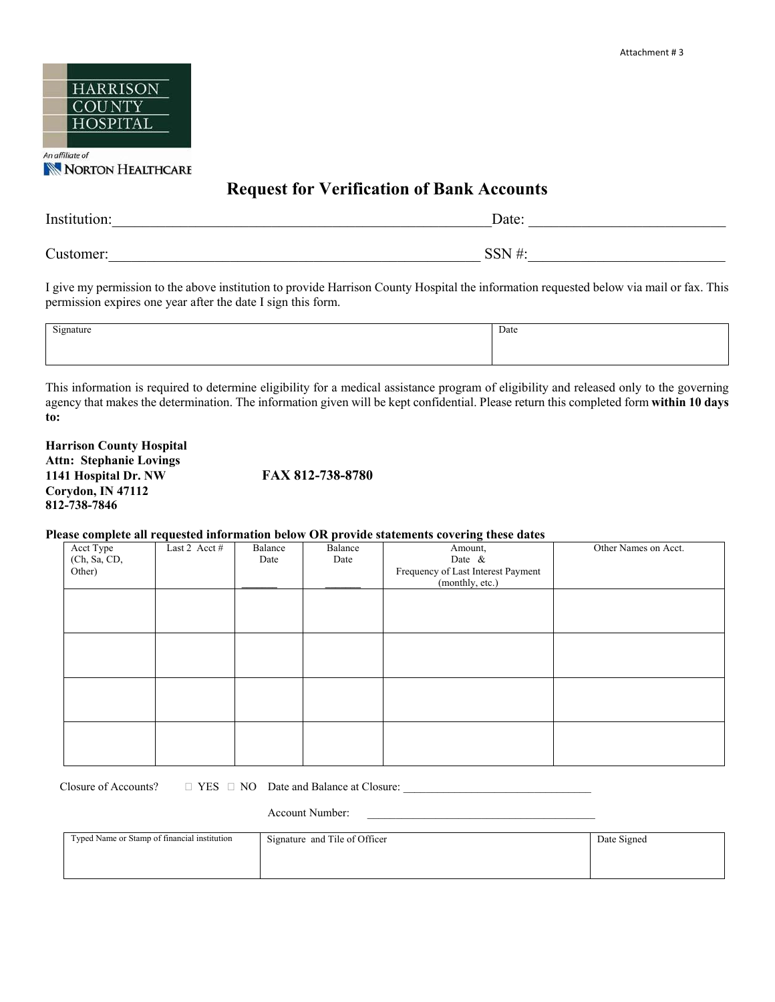

NORTON HEALTHCARE

# **Request for Verification of Bank Accounts**

| Institution: | Date:     |
|--------------|-----------|
| Customer:    | $CCTI$ #. |

I give my permission to the above institution to provide Harrison County Hospital the information requested below via mail or fax. This permission expires one year after the date I sign this form.

| $\sim$<br>Signature<br>------- | Date |
|--------------------------------|------|
|                                |      |
|                                |      |

This information is required to determine eligibility for a medical assistance program of eligibility and released only to the governing agency that makes the determination. The information given will be kept confidential. Please return this completed form **within 10 days to:** 

**Harrison County Hospital Attn: Stephanie Lovings 1141 Hospital Dr. NW FAX 812-738-8780 Corydon, IN 47112 812-738-7846** 

#### **Please complete all requested information below OR provide statements covering these dates**

|              |               |         |         | <u>rease comprete an requested misrimaton seron on provide statements covering these dates</u> |                      |
|--------------|---------------|---------|---------|------------------------------------------------------------------------------------------------|----------------------|
| Acct Type    | Last 2 Acct # | Balance | Balance | Amount,                                                                                        | Other Names on Acct. |
| (Ch, Sa, CD, |               | Date    | Date    | Date &                                                                                         |                      |
| Other)       |               |         |         | Frequency of Last Interest Payment                                                             |                      |
|              |               |         |         | (monthly, etc.)                                                                                |                      |
|              |               |         |         |                                                                                                |                      |
|              |               |         |         |                                                                                                |                      |
|              |               |         |         |                                                                                                |                      |
|              |               |         |         |                                                                                                |                      |
|              |               |         |         |                                                                                                |                      |
|              |               |         |         |                                                                                                |                      |
|              |               |         |         |                                                                                                |                      |
|              |               |         |         |                                                                                                |                      |
|              |               |         |         |                                                                                                |                      |
|              |               |         |         |                                                                                                |                      |
|              |               |         |         |                                                                                                |                      |
|              |               |         |         |                                                                                                |                      |
|              |               |         |         |                                                                                                |                      |
|              |               |         |         |                                                                                                |                      |
|              |               |         |         |                                                                                                |                      |

Closure of Accounts?  $\Box$  YES  $\Box$  NO Date and Balance at Closure:

Account Number:

| Typed Name or Stamp of financial institution | Signature and Tile of Officer | Date Signed |
|----------------------------------------------|-------------------------------|-------------|
|                                              |                               |             |
|                                              |                               |             |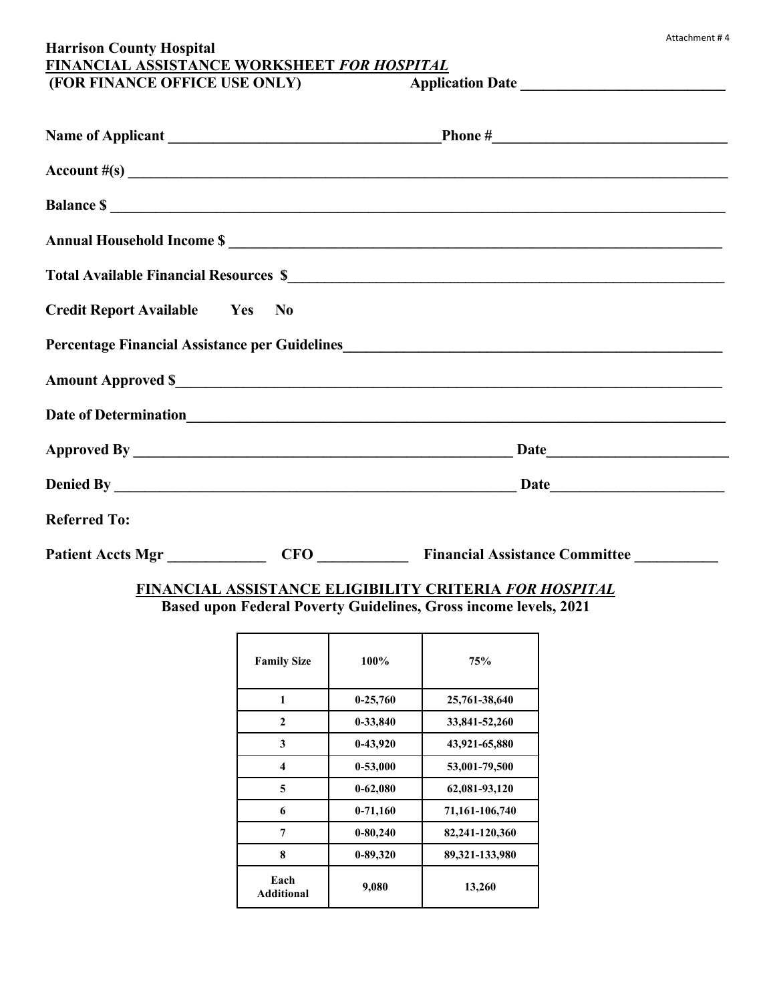# **Harrison County Hospital FINANCIAL ASSISTANCE WORKSHEET** *FOR HOSPITAL*  **(FOR FINANCE OFFICE USE ONLY) Application Date \_\_\_\_\_\_\_\_\_\_\_\_\_\_\_\_\_\_\_\_\_\_\_\_\_\_\_**

|                                       |            | $\text{Account} \#(\text{s})$                                                                 |
|---------------------------------------|------------|-----------------------------------------------------------------------------------------------|
|                                       |            | <b>Balance S</b>                                                                              |
|                                       |            | Annual Household Income \$                                                                    |
|                                       |            |                                                                                               |
| <b>Credit Report Available Ves No</b> |            |                                                                                               |
|                                       |            | Percentage Financial Assistance per Guidelines<br><u>Letter and Assistance per Guidelines</u> |
|                                       |            |                                                                                               |
|                                       |            |                                                                                               |
|                                       |            |                                                                                               |
|                                       |            |                                                                                               |
| <b>Referred To:</b>                   |            |                                                                                               |
| <b>Patient Accts Mgr</b>              | <b>CFO</b> | <b>Financial Assistance Committee</b>                                                         |

# **FINANCIAL ASSISTANCE ELIGIBILITY CRITERIA** *FOR HOSPITAL* **Based upon Federal Poverty Guidelines, Gross income levels, 2021**

| <b>Family Size</b>        | $100\%$      | 75%            |
|---------------------------|--------------|----------------|
| 1                         | $0-25,760$   | 25,761-38,640  |
| $\mathbf{2}$              | 0-33,840     | 33,841-52,260  |
| 3                         | 0-43,920     | 43,921-65,880  |
| 4                         | 0-53,000     | 53,001-79,500  |
| 5                         | $0 - 62,080$ | 62,081-93,120  |
| 6                         | $0-71,160$   | 71,161-106,740 |
| 7                         | $0 - 80,240$ | 82,241-120,360 |
| 8                         | $0 - 89,320$ | 89,321-133,980 |
| Each<br><b>Additional</b> | 9,080        | 13,260         |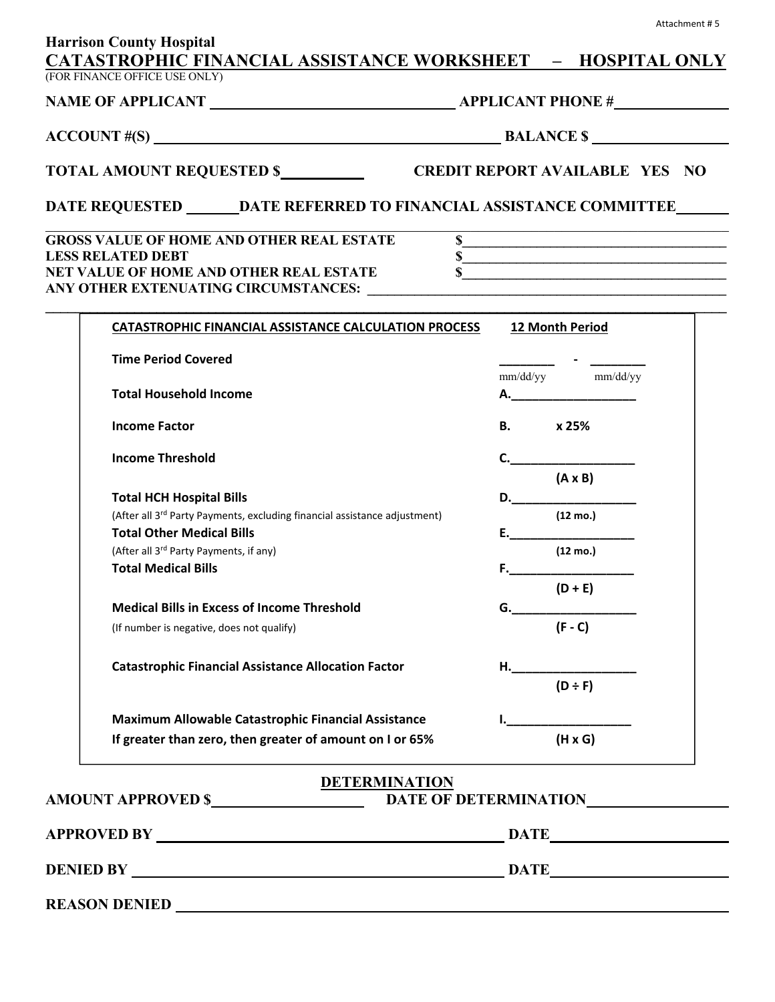|                                                                                                                           |                                                                       | $\text{ACCOUNT} \#(\text{S})$ BALANCE $\text{S}$                                                                                                          |  |  |  |
|---------------------------------------------------------------------------------------------------------------------------|-----------------------------------------------------------------------|-----------------------------------------------------------------------------------------------------------------------------------------------------------|--|--|--|
|                                                                                                                           |                                                                       |                                                                                                                                                           |  |  |  |
| DATE REQUESTED ________ DATE REFERRED TO FINANCIAL ASSISTANCE COMMITTEE _______                                           |                                                                       |                                                                                                                                                           |  |  |  |
| <b>GROSS VALUE OF HOME AND OTHER REAL ESTATE</b><br><b>LESS RELATED DEBT</b><br>NET VALUE OF HOME AND OTHER REAL ESTATE   |                                                                       | $\overline{\textbf{s}}$<br>$\overline{\textbf{s}}$<br>$\sim$                                                                                              |  |  |  |
|                                                                                                                           | CATASTROPHIC FINANCIAL ASSISTANCE CALCULATION PROCESS 12 Month Period |                                                                                                                                                           |  |  |  |
| <b>Time Period Covered</b>                                                                                                |                                                                       | $mm/dd/yy~~mm/dd/yy \label{eq:mm/dd}$                                                                                                                     |  |  |  |
| <b>Total Household Income</b>                                                                                             |                                                                       | $\mathsf{A.}\hspace{-2pt}-\hspace{-2pt}-\hspace{-2pt}-\hspace{-2pt}-\hspace{-2pt}-\hspace{-2pt}-\hspace{-2pt}-\hspace{-2pt}-\hspace{-2pt}-\hspace{-2pt}-$ |  |  |  |
| <b>Income Factor</b>                                                                                                      |                                                                       | B. x 25%                                                                                                                                                  |  |  |  |
| <b>Income Threshold</b>                                                                                                   |                                                                       | C.<br>$(A \times B)$                                                                                                                                      |  |  |  |
| <b>Total HCH Hospital Bills</b>                                                                                           |                                                                       | D.                                                                                                                                                        |  |  |  |
| (After all 3 <sup>rd</sup> Party Payments, excluding financial assistance adjustment)<br><b>Total Other Medical Bills</b> |                                                                       | $(12 \text{ mo.})$<br>E.                                                                                                                                  |  |  |  |
| (After all 3rd Party Payments, if any)                                                                                    |                                                                       | $(12 \text{ mo.})$                                                                                                                                        |  |  |  |
| <b>Total Medical Bills</b>                                                                                                |                                                                       | F. Samuel Communication<br>$(D + E)$                                                                                                                      |  |  |  |
| <b>Medical Bills in Excess of Income Threshold</b>                                                                        |                                                                       | G._______________________                                                                                                                                 |  |  |  |
| (If number is negative, does not qualify)                                                                                 |                                                                       | $(F - C)$                                                                                                                                                 |  |  |  |
| <b>Catastrophic Financial Assistance Allocation Factor</b>                                                                |                                                                       | H.____________________                                                                                                                                    |  |  |  |
|                                                                                                                           |                                                                       | $(D \div F)$                                                                                                                                              |  |  |  |
| Maximum Allowable Catastrophic Financial Assistance                                                                       |                                                                       | $(H \times G)$                                                                                                                                            |  |  |  |
| If greater than zero, then greater of amount on I or 65%                                                                  |                                                                       |                                                                                                                                                           |  |  |  |
| AMOUNT APPROVED \$ DATE OF DETERMINATION                                                                                  | <b>DETERMINATION</b>                                                  |                                                                                                                                                           |  |  |  |
|                                                                                                                           |                                                                       |                                                                                                                                                           |  |  |  |
|                                                                                                                           |                                                                       |                                                                                                                                                           |  |  |  |

Attachment # 5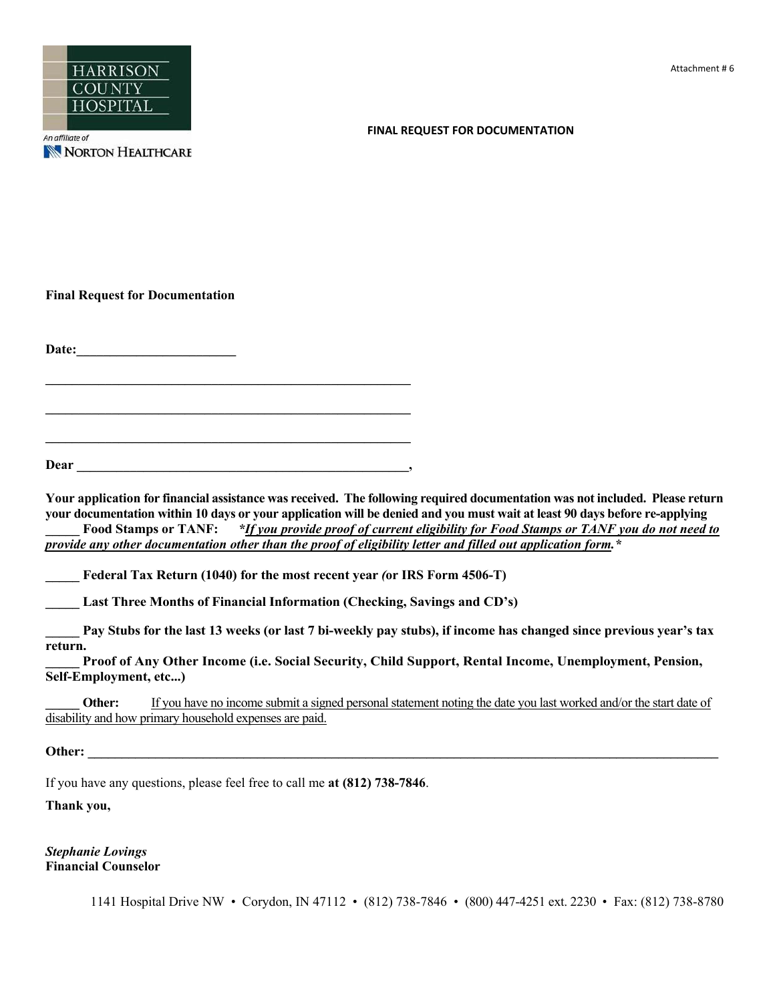

#### **FINAL REQUEST FOR DOCUMENTATION**

**Final Request for Documentation** 

**Date:\_\_\_\_\_\_\_\_\_\_\_\_\_\_\_\_\_\_\_\_\_\_\_\_** 

**\_\_\_\_\_\_\_\_\_\_\_\_\_\_\_\_\_\_\_\_\_\_\_\_\_\_\_\_\_\_\_\_\_\_\_\_\_\_\_\_\_\_\_\_\_\_\_\_\_\_\_\_\_\_\_** 

**\_\_\_\_\_\_\_\_\_\_\_\_\_\_\_\_\_\_\_\_\_\_\_\_\_\_\_\_\_\_\_\_\_\_\_\_\_\_\_\_\_\_\_\_\_\_\_\_\_\_\_\_\_\_\_ Dear \_\_\_\_\_\_\_\_\_\_\_\_\_\_\_\_\_\_\_\_\_\_\_\_\_\_\_\_\_\_\_\_\_\_\_\_\_\_\_\_\_\_\_\_\_\_\_\_\_\_,** 

**Your application for financial assistance was received. The following required documentation was not included. Please return your documentation within 10 days or your application will be denied and you must wait at least 90 days before re-applying** Food Stamps or TANF: *\*If you provide proof of current eligibility for Food Stamps or TANF you do not need to provide any other documentation other than the proof of eligibility letter and filled out application form.\**

**\_\_\_\_\_ Federal Tax Return (1040) for the most recent year** *(***or IRS Form 4506-T)** 

**\_\_\_\_\_ Last Three Months of Financial Information (Checking, Savings and CD's)** 

**\_\_\_\_\_ Pay Stubs for the last 13 weeks (or last 7 bi-weekly pay stubs), if income has changed since previous year's tax return.**

**\_\_\_\_\_ Proof of Any Other Income (i.e. Social Security, Child Support, Rental Income, Unemployment, Pension, Self-Employment, etc...)** 

**Other:** If you have no income submit a signed personal statement noting the date you last worked and/or the start date of disability and how primary household expenses are paid.

**Other:** *Other:**<b><i>Properties: Properties: Properties: <i>Properties: Properties: <i>Properties: Properties: Properties: Properties: <i>Properties: Properties: Properties: Properties:* 

If you have any questions, please feel free to call me **at (812) 738-7846**.

**Thank you,** 

*Stephanie Lovings*  **Financial Counselor** 

1141 Hospital Drive NW • Corydon, IN 47112 • (812) 738-7846 • (800) 447-4251 ext. 2230 • Fax: (812) 738-8780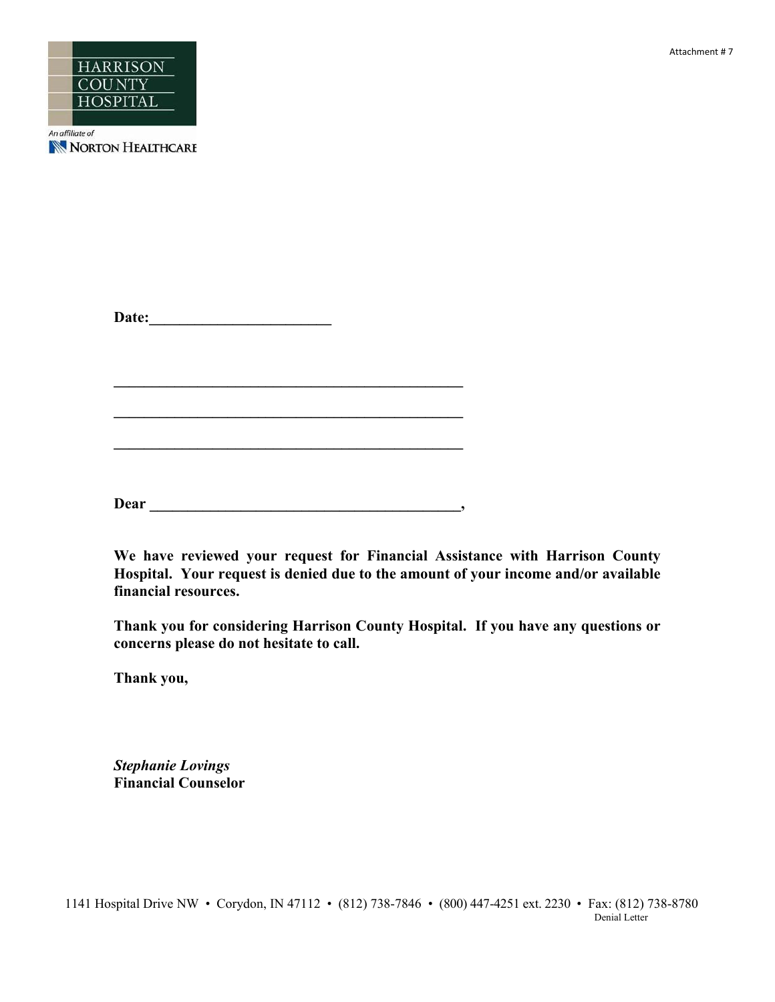



NORTON HEALTHCARE

**Date:\_\_\_\_\_\_\_\_\_\_\_\_\_\_\_\_\_\_\_\_\_\_\_\_** 

**Dear \_\_\_\_\_\_\_\_\_\_\_\_\_\_\_\_\_\_\_\_\_\_\_\_\_\_\_\_\_\_\_\_\_\_\_\_\_\_\_\_\_,** 

**\_\_\_\_\_\_\_\_\_\_\_\_\_\_\_\_\_\_\_\_\_\_\_\_\_\_\_\_\_\_\_\_\_\_\_\_\_\_\_\_\_\_\_\_\_\_** 

 $\mathcal{L} = \{ \mathcal{L} \}$ 

**\_\_\_\_\_\_\_\_\_\_\_\_\_\_\_\_\_\_\_\_\_\_\_\_\_\_\_\_\_\_\_\_\_\_\_\_\_\_\_\_\_\_\_\_\_\_** 

**We have reviewed your request for Financial Assistance with Harrison County Hospital. Your request is denied due to the amount of your income and/or available financial resources.** 

**Thank you for considering Harrison County Hospital. If you have any questions or concerns please do not hesitate to call.** 

**Thank you,** 

*Stephanie Lovings*  **Financial Counselor**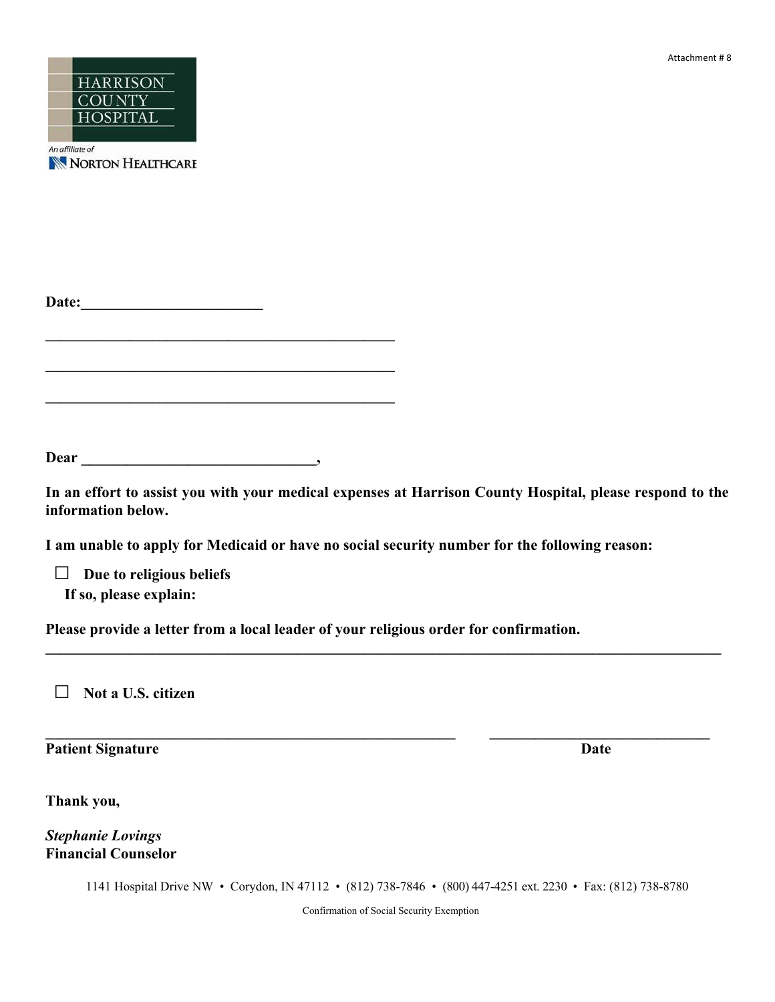Attachment # 8



NORTON HEALTHCARE

**\_\_\_\_\_\_\_\_\_\_\_\_\_\_\_\_\_\_\_\_\_\_\_\_\_\_\_\_\_\_\_\_\_\_\_\_\_\_\_\_\_\_\_\_\_\_** 

**\_\_\_\_\_\_\_\_\_\_\_\_\_\_\_\_\_\_\_\_\_\_\_\_\_\_\_\_\_\_\_\_\_\_\_\_\_\_\_\_\_\_\_\_\_\_** 

**\_\_\_\_\_\_\_\_\_\_\_\_\_\_\_\_\_\_\_\_\_\_\_\_\_\_\_\_\_\_\_\_\_\_\_\_\_\_\_\_\_\_\_\_\_\_** 

**Dear \_\_\_\_\_\_\_\_\_\_\_\_\_\_\_\_\_\_\_\_\_\_\_\_\_\_\_\_\_\_\_,** 

**In an effort to assist you with your medical expenses at Harrison County Hospital, please respond to the information below.** 

 $\mathcal{L}_\mathcal{L} = \mathcal{L}_\mathcal{L} = \mathcal{L}_\mathcal{L} = \mathcal{L}_\mathcal{L} = \mathcal{L}_\mathcal{L} = \mathcal{L}_\mathcal{L} = \mathcal{L}_\mathcal{L} = \mathcal{L}_\mathcal{L} = \mathcal{L}_\mathcal{L} = \mathcal{L}_\mathcal{L} = \mathcal{L}_\mathcal{L} = \mathcal{L}_\mathcal{L} = \mathcal{L}_\mathcal{L} = \mathcal{L}_\mathcal{L} = \mathcal{L}_\mathcal{L} = \mathcal{L}_\mathcal{L} = \mathcal{L}_\mathcal{L}$ 

 $\mathcal{L}_\mathcal{L} = \{ \mathcal{L}_\mathcal{L} = \{ \mathcal{L}_\mathcal{L} = \{ \mathcal{L}_\mathcal{L} = \{ \mathcal{L}_\mathcal{L} = \{ \mathcal{L}_\mathcal{L} = \{ \mathcal{L}_\mathcal{L} = \{ \mathcal{L}_\mathcal{L} = \{ \mathcal{L}_\mathcal{L} = \{ \mathcal{L}_\mathcal{L} = \{ \mathcal{L}_\mathcal{L} = \{ \mathcal{L}_\mathcal{L} = \{ \mathcal{L}_\mathcal{L} = \{ \mathcal{L}_\mathcal{L} = \{ \mathcal{L}_\mathcal{$ 

**I am unable to apply for Medicaid or have no social security number for the following reason:** 

 **□ Due to religious beliefs If so, please explain:** 

**Please provide a letter from a local leader of your religious order for confirmation.** 

 **□ Not a U.S. citizen** 

**Patient Signature Date** 

**Thank you,** 

*Stephanie Lovings*  **Financial Counselor** 

1141 Hospital Drive NW • Corydon, IN 47112 • (812) 738-7846 • (800) 447-4251 ext. 2230 • Fax: (812) 738-8780

Confirmation of Social Security Exemption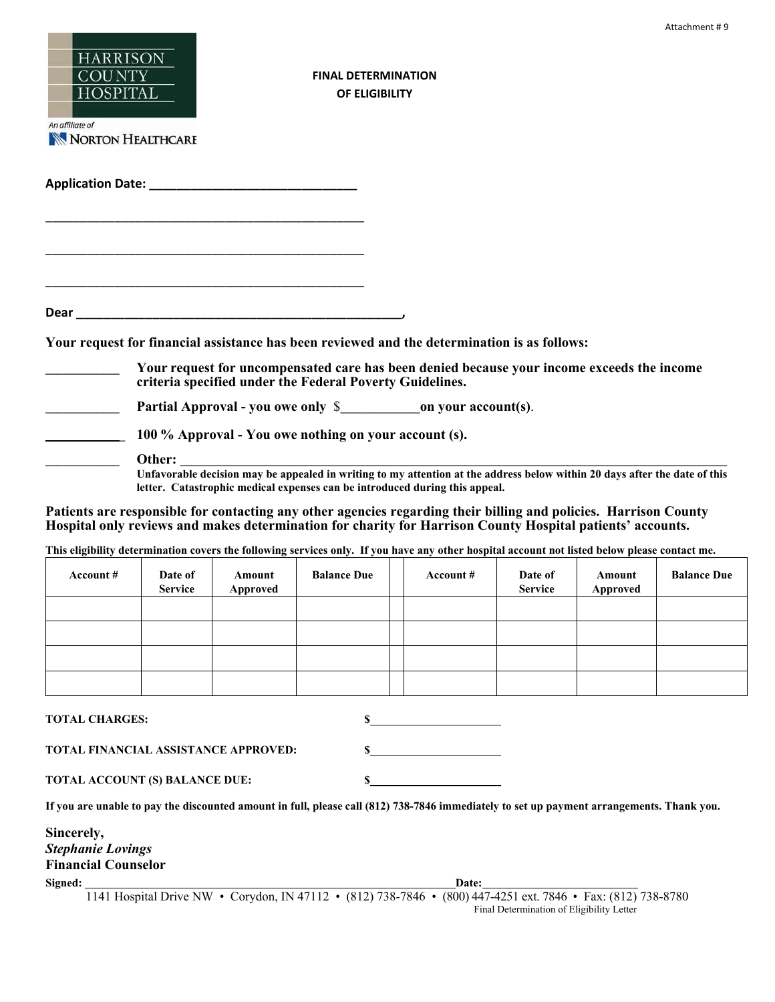| <b>HARRISON</b><br><b>COUNTY</b><br><b>HOSPITAL</b><br>An affiliate of<br>NORTON HEALTHCARE |                                      |                    | <b>FINAL DETERMINATION</b><br>OF ELIGIBILITY                                                                                                                                                                                                                                                                                                                                                                                                                                                                                 |           |                           |                    | Attachment #9      |
|---------------------------------------------------------------------------------------------|--------------------------------------|--------------------|------------------------------------------------------------------------------------------------------------------------------------------------------------------------------------------------------------------------------------------------------------------------------------------------------------------------------------------------------------------------------------------------------------------------------------------------------------------------------------------------------------------------------|-----------|---------------------------|--------------------|--------------------|
|                                                                                             |                                      |                    |                                                                                                                                                                                                                                                                                                                                                                                                                                                                                                                              |           |                           |                    |                    |
|                                                                                             |                                      |                    |                                                                                                                                                                                                                                                                                                                                                                                                                                                                                                                              |           |                           |                    |                    |
|                                                                                             | Other:                               |                    | Your request for financial assistance has been reviewed and the determination is as follows:<br>Your request for uncompensated care has been denied because your income exceeds the income<br>criteria specified under the Federal Poverty Guidelines.<br>100 % Approval - You owe nothing on your account (s).<br>Unfavorable decision may be appealed in writing to my attention at the address below within 20 days after the date of this<br>letter. Catastrophic medical expenses can be introduced during this appeal. |           |                           |                    |                    |
|                                                                                             |                                      |                    | Patients are responsible for contacting any other agencies regarding their billing and policies. Harrison County<br>Hospital only reviews and makes determination for charity for Harrison County Hospital patients' accounts.<br>This eligibility determination covers the following services only. If you have any other hospital account not listed below please contact me.                                                                                                                                              |           |                           |                    |                    |
| Account #                                                                                   | Date of<br><b>Service</b>            | Amount<br>Approved | <b>Balance Due</b>                                                                                                                                                                                                                                                                                                                                                                                                                                                                                                           | Account # | Date of<br><b>Service</b> | Amount<br>Approved | <b>Balance Due</b> |
|                                                                                             |                                      |                    |                                                                                                                                                                                                                                                                                                                                                                                                                                                                                                                              |           |                           |                    |                    |
| <b>TOTAL CHARGES:</b>                                                                       | TOTAL FINANCIAL ASSISTANCE APPROVED: |                    | \$                                                                                                                                                                                                                                                                                                                                                                                                                                                                                                                           |           |                           |                    |                    |
|                                                                                             | TOTAL ACCOUNT (S) BALANCE DUE:       |                    | \$                                                                                                                                                                                                                                                                                                                                                                                                                                                                                                                           |           |                           |                    |                    |

**If you are unable to pay the discounted amount in full, please call (812) 738-7846 immediately to set up payment arrangements. Thank you.** 

| Sincerely,                 |  |
|----------------------------|--|
| <b>Stephanie Lovings</b>   |  |
| <b>Financial Counselor</b> |  |

**Signed:** Date: **Date: Date: Date: Date: Date: Date: Date: Date: Date: Date: Date: Date: Date: Date: Date: Date: Date: Date: Date: Date: Date: Date: Date: Date: Date: Date:** 

1141 Hospital Drive NW • Corydon, IN 47112 • (812) 738-7846 • (800) 447-4251 ext. 7846 • Fax: (812) 738-8780 Final Determination of Eligibility Letter